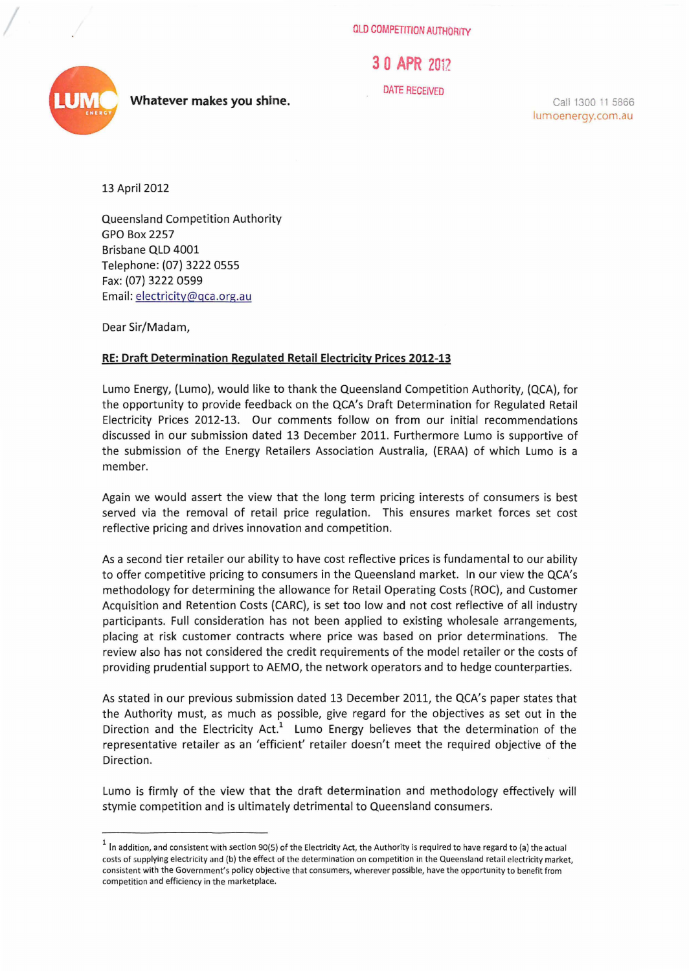OLD COMPETITION AUTHORITY

3 **0 APR** 20iZ

DATE RECEIVED

Call 1300 11 5866 lumoenergy.com.au

13 April 2012

Queensland Competition Authority GPO Box 2257 Brisbane QLD 4001 Telephone: (07) 32220555 Fax: (07) 3222 0599 Email: electricity@qca.org.au

Dear Sir/Madam,

## **RE: Draft Determination Regulated Retail Electricity Prices 2012-13**

Lumo Energy, (Lumo), would like to thank the Queensland Competition Authority, (QCA), for the opportunity to provide feedback on the QCA's Draft Determination for Regulated Retail Electricity Prices 2012-13. Our comments follow on from our initial recommendations discussed in our submission dated 13 December 2011. Furthermore Lumo is supportive of the submission of the Energy Retailers Association Australia, (ERAA) of which Lumo is a member.

Again we would assert the view that the long term pricing interests of consumers is best served via the removal of retail price regulation. This ensures market forces set cost reflective pricing and drives innovation and competition.

As a second tier retailer our ability to have cost reflective prices is fundamental to our ability to offer competitive pricing to consumers in the Queensland market. In our view the QCA's methodology for determining the allowance for Retail Operating Costs (ROC), and Customer Acquisition and Retention Costs (CARC), is set too low and not cost reflective of all industry participants. Full consideration has not been applied to existing wholesale arrangements, placing at risk customer contracts where price was based on prior determinations. The review also has not considered the credit requirements of the model retailer or the costs of providing prudential support to AEMO, the network operators and to hedge counterparties.

As stated in our previous submission dated 13 December 2011, the QCA's paper states that the Authority must, as much as possible, give regard for the objectives as set out in the Direction and the Electricity Act.<sup>1</sup> Lumo Energy believes that the determination of the representative retailer as an 'efficient' retailer doesn't meet the required objective of the Direction.

Lumo is firmly of the view that the draft determination and methodology effectively will stymie competition and is ultimately detrimental to Queensland consumers.



**Whatever makes you shine.** 

 $1$  In addition, and consistent with section 90(5) of the Electricity Act, the Authority is required to have regard to (a) the actual costs of supplying electricity and (b) the effect of the determination on competition in the Queensland retail electricity market, consistent with the Government's policy objective that consumers, wherever possible, have the opportunity to benefit from competition and efficiency in the marketplace.